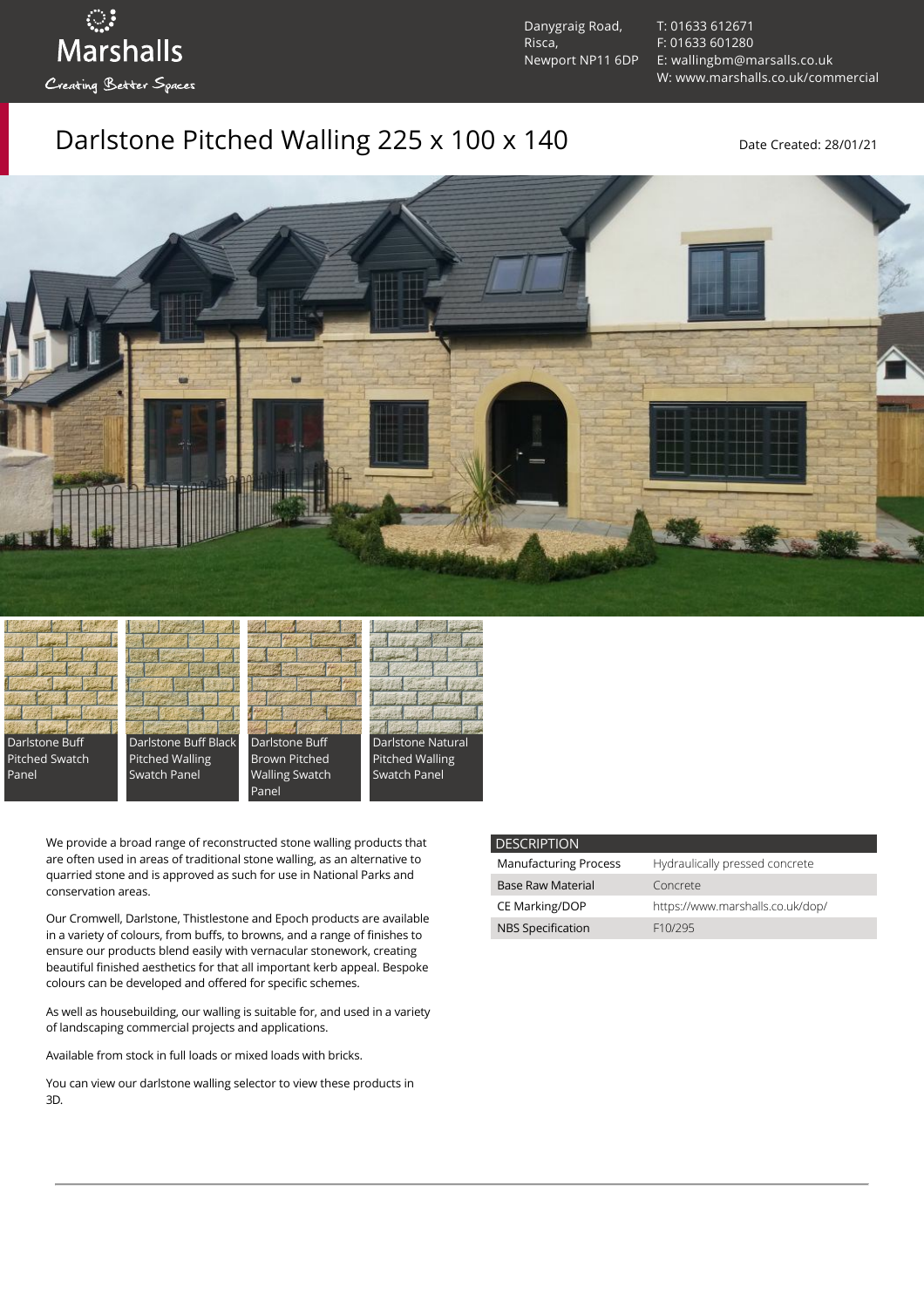ुः<br>Marshalls Creating Better Spaces

Danygraig Road, Risca, Newport NP11 6DP [T: 01633 612671](tel:01633%20612671) [F: 01633 601280](tel:01633%20601280) [E: wallingbm@marsalls.co.uk](mailto:wallingbm@marsalls.co.uk) [W: www.marshalls.co.uk/commercial](https://www.marshalls.co.uk/commercial)

## Darlstone Pitched Walling 225 x 100 x 140 Date Created: 28/01/21





Darlstone Buff Black Pitched Walling Swatch Panel



Panel



We provide a broad range of reconstructed stone walling products that are often used in areas of traditional stone walling, as an alternative to quarried stone and is approved as such for use in National Parks and conservation areas.

Our [Cromwell](https://www.marshalls.co.uk/commercial/product/cromwell-stone-walling), Darlstone, [Thistlestone](https://www.marshalls.co.uk/commercial/product/thistlestone-stone-walling) and Epoch products are available in a variety of colours, from buffs, to browns, and a range of finishes to ensure our products blend easily with vernacular stonework, creating beautiful finished aesthetics for that all important kerb appeal. Bespoke colours can be developed and offered for specific schemes.

As well as housebuilding, our walling is suitable for, and used in a variety of landscaping commercial projects and applications.

Available from stock in full loads or mixed loads with bricks.

You can view our [darlstone walling selector](https://www.paverpicker.com/paverpicker/?u=edenhall&cat=walling&subcat=darlstone_walling) to view these products in 3D.

### **DESCRIPTION**

| <b>Manufacturing Process</b> | Hydraulically pressed concrete   |
|------------------------------|----------------------------------|
| <b>Base Raw Material</b>     | Concrete                         |
| CE Marking/DOP               | https://www.marshalls.co.uk/dop/ |
| <b>NBS Specification</b>     | F <sub>10</sub> /295             |